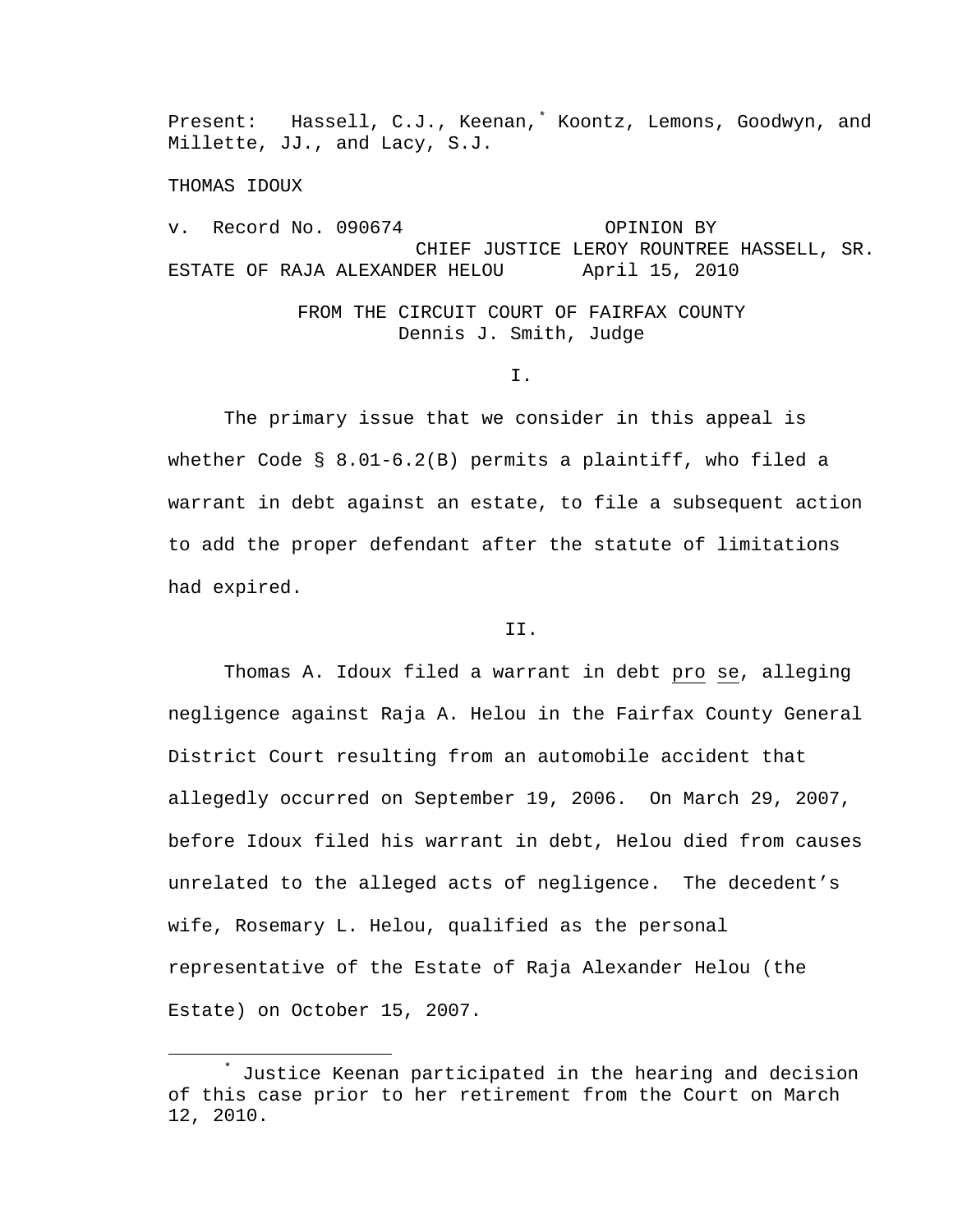Present: Hassell, C.J., Keenan,<sup>[\\*](#page-0-0)</sup> Koontz, Lemons, Goodwyn, and Millette, JJ., and Lacy, S.J.

THOMAS IDOUX

v. Record No. 090674 OPINION BY CHIEF JUSTICE LEROY ROUNTREE HASSELL, SR. ESTATE OF RAJA ALEXANDER HELOU April 15, 2010

## FROM THE CIRCUIT COURT OF FAIRFAX COUNTY Dennis J. Smith, Judge

I.

 The primary issue that we consider in this appeal is whether Code § 8.01-6.2(B) permits a plaintiff, who filed a warrant in debt against an estate, to file a subsequent action to add the proper defendant after the statute of limitations had expired.

## II.

 Thomas A. Idoux filed a warrant in debt pro se, alleging negligence against Raja A. Helou in the Fairfax County General District Court resulting from an automobile accident that allegedly occurred on September 19, 2006. On March 29, 2007, before Idoux filed his warrant in debt, Helou died from causes unrelated to the alleged acts of negligence. The decedent's wife, Rosemary L. Helou, qualified as the personal representative of the Estate of Raja Alexander Helou (the Estate) on October 15, 2007.

<span id="page-0-0"></span> $\ddot{x}$  Justice Keenan participated in the hearing and decision of this case prior to her retirement from the Court on March 12, 2010.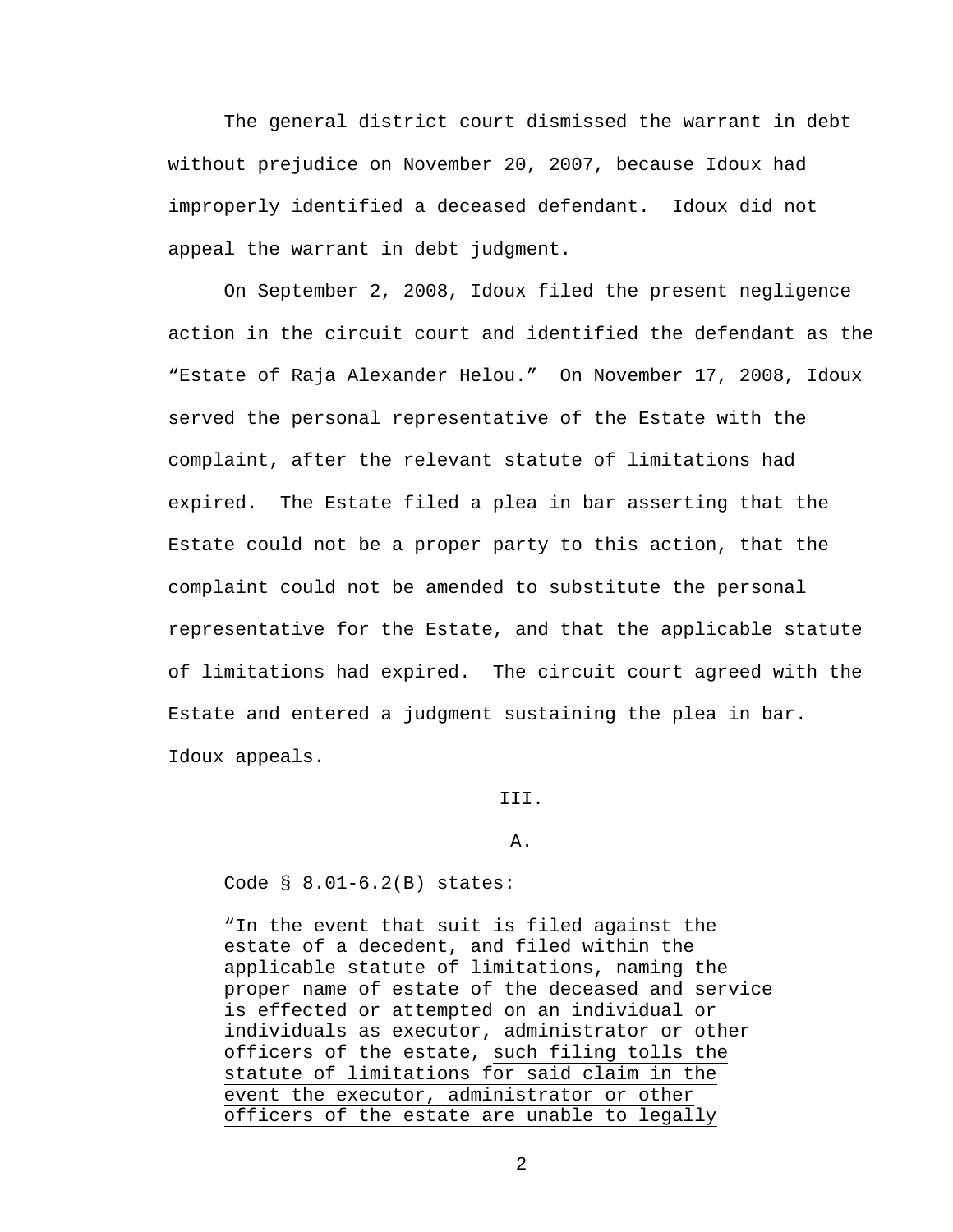The general district court dismissed the warrant in debt without prejudice on November 20, 2007, because Idoux had improperly identified a deceased defendant. Idoux did not appeal the warrant in debt judgment.

 On September 2, 2008, Idoux filed the present negligence action in the circuit court and identified the defendant as the "Estate of Raja Alexander Helou." On November 17, 2008, Idoux served the personal representative of the Estate with the complaint, after the relevant statute of limitations had expired. The Estate filed a plea in bar asserting that the Estate could not be a proper party to this action, that the complaint could not be amended to substitute the personal representative for the Estate, and that the applicable statute of limitations had expired. The circuit court agreed with the Estate and entered a judgment sustaining the plea in bar. Idoux appeals.

III.

A.

Code § 8.01-6.2(B) states:

"In the event that suit is filed against the estate of a decedent, and filed within the applicable statute of limitations, naming the proper name of estate of the deceased and service is effected or attempted on an individual or individuals as executor, administrator or other officers of the estate, such filing tolls the statute of limitations for said claim in the event the executor, administrator or other officers of the estate are unable to legally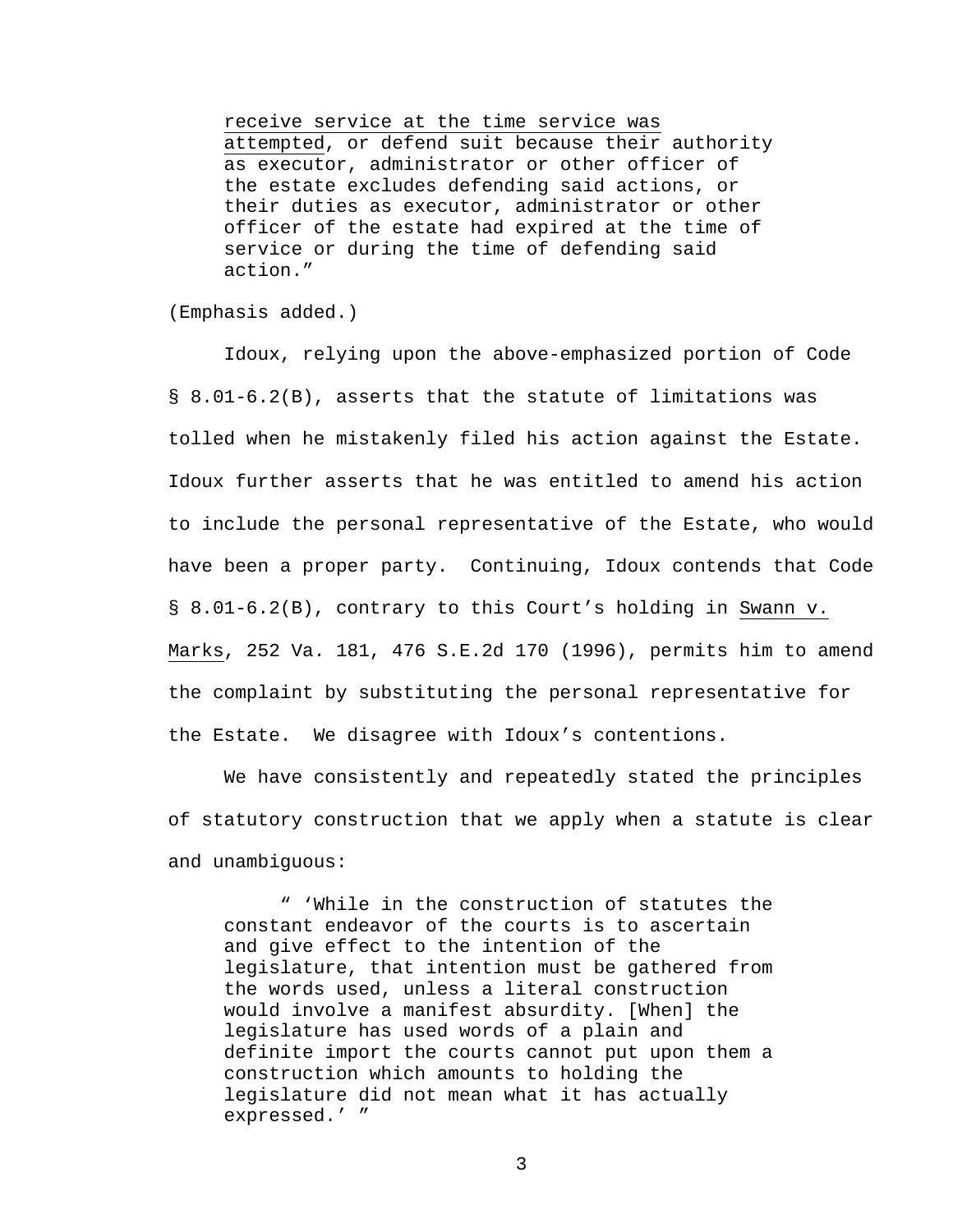receive service at the time service was attempted, or defend suit because their authority as executor, administrator or other officer of the estate excludes defending said actions, or their duties as executor, administrator or other officer of the estate had expired at the time of service or during the time of defending said action."

(Emphasis added.)

 Idoux, relying upon the above-emphasized portion of Code § 8.01-6.2(B), asserts that the statute of limitations was tolled when he mistakenly filed his action against the Estate. Idoux further asserts that he was entitled to amend his action to include the personal representative of the Estate, who would have been a proper party. Continuing, Idoux contends that Code § 8.01-6.2(B), contrary to this Court's holding in Swann v. Marks, 252 Va. 181, 476 S.E.2d 170 (1996), permits him to amend the complaint by substituting the personal representative for the Estate. We disagree with Idoux's contentions.

 We have consistently and repeatedly stated the principles of statutory construction that we apply when a statute is clear and unambiguous:

 " 'While in the construction of statutes the constant endeavor of the courts is to ascertain and give effect to the intention of the legislature, that intention must be gathered from the words used, unless a literal construction would involve a manifest absurdity. [When] the legislature has used words of a plain and definite import the courts cannot put upon them a construction which amounts to holding the legislature did not mean what it has actually expressed.' "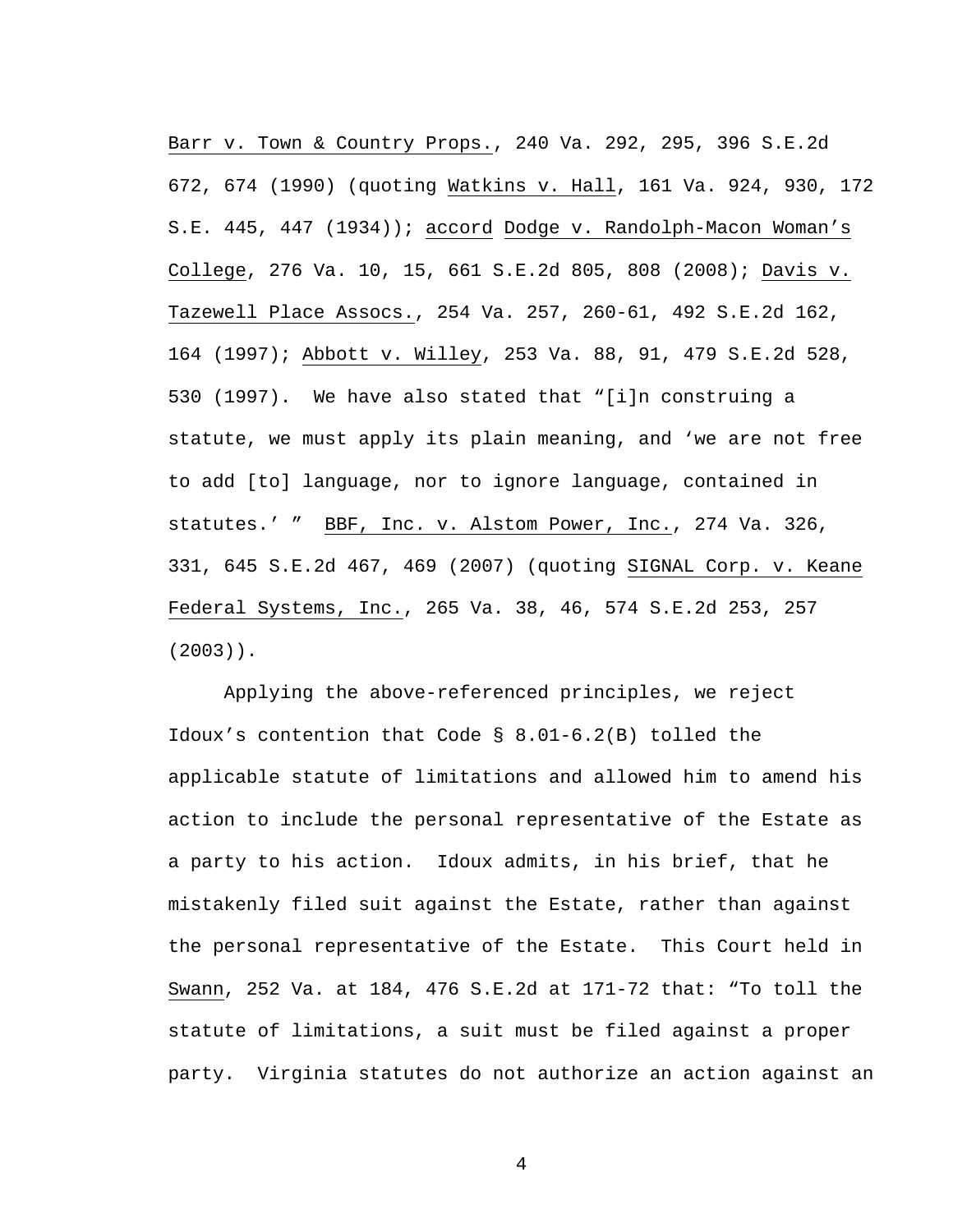Barr v. Town & Country Props., 240 Va. 292, 295, 396 S.E.2d 672, 674 (1990) (quoting Watkins v. Hall, 161 Va. 924, 930, 172 S.E. 445, 447 (1934)); accord Dodge v. Randolph-Macon Woman's College, 276 Va. 10, 15, 661 S.E.2d 805, 808 (2008); Davis v. Tazewell Place Assocs., 254 Va. 257, 260-61, 492 S.E.2d 162, 164 (1997); Abbott v. Willey, 253 Va. 88, 91, 479 S.E.2d 528, 530 (1997). We have also stated that "[i]n construing a statute, we must apply its plain meaning, and 'we are not free to add [to] language, nor to ignore language, contained in statutes.' " BBF, Inc. v. Alstom Power, Inc., 274 Va. 326, 331, 645 S.E.2d 467, 469 (2007) (quoting SIGNAL Corp. v. Keane Federal Systems, Inc., 265 Va. 38, 46, 574 S.E.2d 253, 257 (2003)).

 Applying the above-referenced principles, we reject Idoux's contention that Code § 8.01-6.2(B) tolled the applicable statute of limitations and allowed him to amend his action to include the personal representative of the Estate as a party to his action. Idoux admits, in his brief, that he mistakenly filed suit against the Estate, rather than against the personal representative of the Estate. This Court held in Swann, 252 Va. at 184, 476 S.E.2d at 171-72 that: "To toll the statute of limitations, a suit must be filed against a proper party. Virginia statutes do not authorize an action against an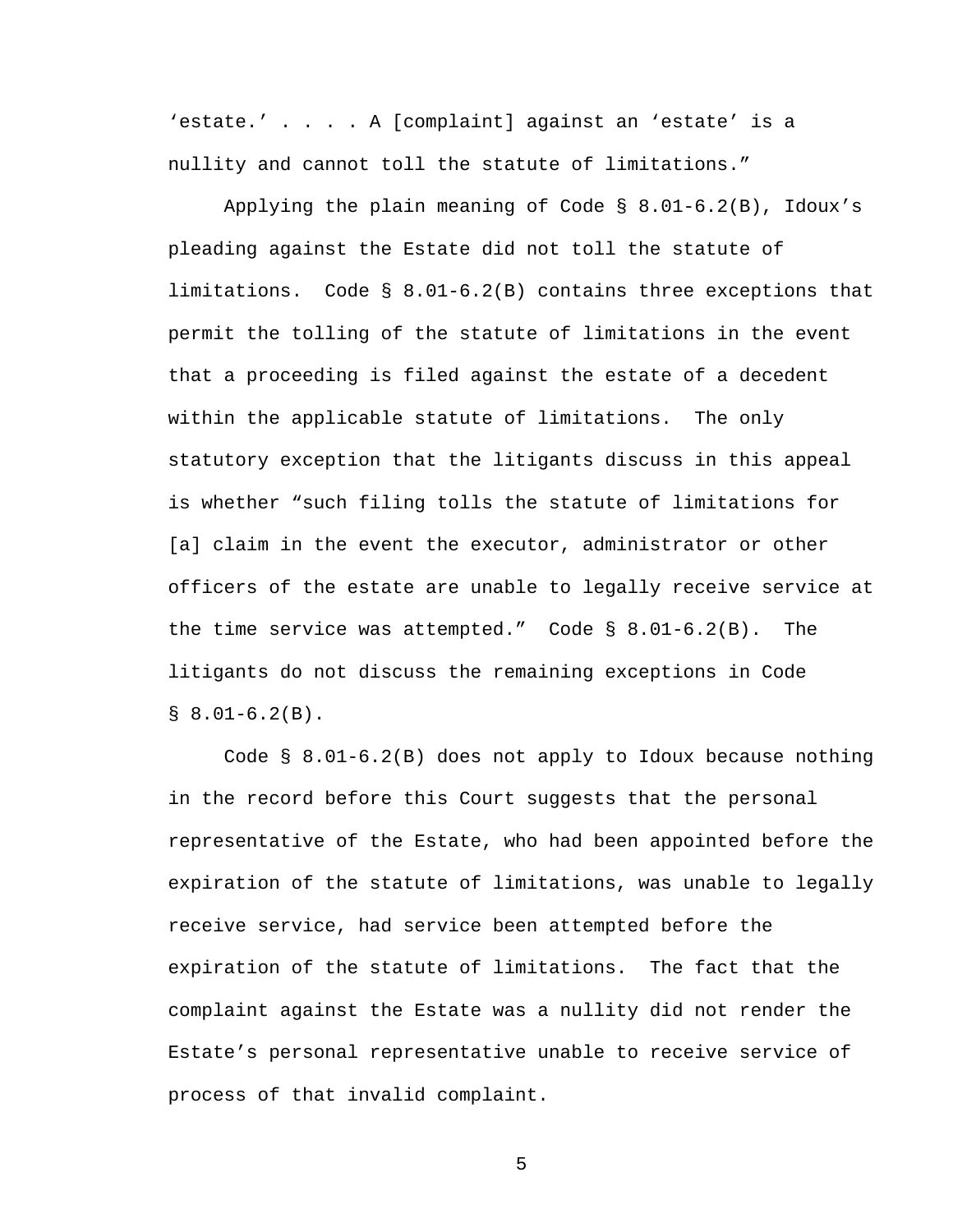'estate.' . . . . A [complaint] against an 'estate' is a nullity and cannot toll the statute of limitations."

Applying the plain meaning of Code  $\S$  8.01-6.2(B), Idoux's pleading against the Estate did not toll the statute of limitations. Code § 8.01-6.2(B) contains three exceptions that permit the tolling of the statute of limitations in the event that a proceeding is filed against the estate of a decedent within the applicable statute of limitations. The only statutory exception that the litigants discuss in this appeal is whether "such filing tolls the statute of limitations for [a] claim in the event the executor, administrator or other officers of the estate are unable to legally receive service at the time service was attempted." Code § 8.01-6.2(B). The litigants do not discuss the remaining exceptions in Code  $$8.01-6.2(B).$ 

 Code § 8.01-6.2(B) does not apply to Idoux because nothing in the record before this Court suggests that the personal representative of the Estate, who had been appointed before the expiration of the statute of limitations, was unable to legally receive service, had service been attempted before the expiration of the statute of limitations. The fact that the complaint against the Estate was a nullity did not render the Estate's personal representative unable to receive service of process of that invalid complaint.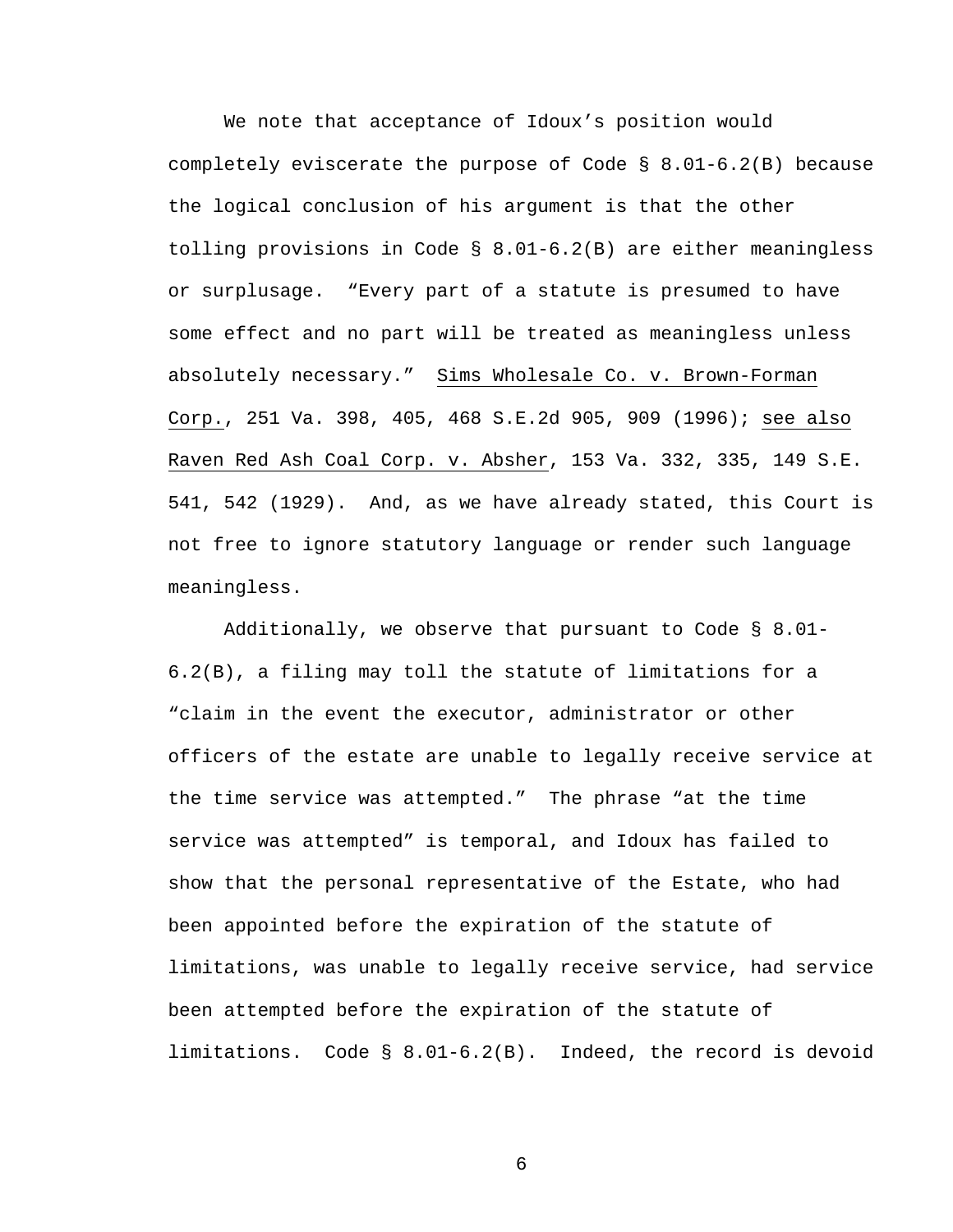We note that acceptance of Idoux's position would completely eviscerate the purpose of Code  $\S$  8.01-6.2(B) because the logical conclusion of his argument is that the other tolling provisions in Code § 8.01-6.2(B) are either meaningless or surplusage. "Every part of a statute is presumed to have some effect and no part will be treated as meaningless unless absolutely necessary." Sims Wholesale Co. v. Brown-Forman Corp., 251 Va. 398, 405, 468 S.E.2d 905, 909 (1996); see also Raven Red Ash Coal Corp. v. Absher, 153 Va. 332, 335, 149 S.E. 541, 542 (1929). And, as we have already stated, this Court is not free to ignore statutory language or render such language meaningless.

 Additionally, we observe that pursuant to Code § 8.01- 6.2(B), a filing may toll the statute of limitations for a "claim in the event the executor, administrator or other officers of the estate are unable to legally receive service at the time service was attempted." The phrase "at the time service was attempted" is temporal, and Idoux has failed to show that the personal representative of the Estate, who had been appointed before the expiration of the statute of limitations, was unable to legally receive service, had service been attempted before the expiration of the statute of limitations. Code § 8.01-6.2(B). Indeed, the record is devoid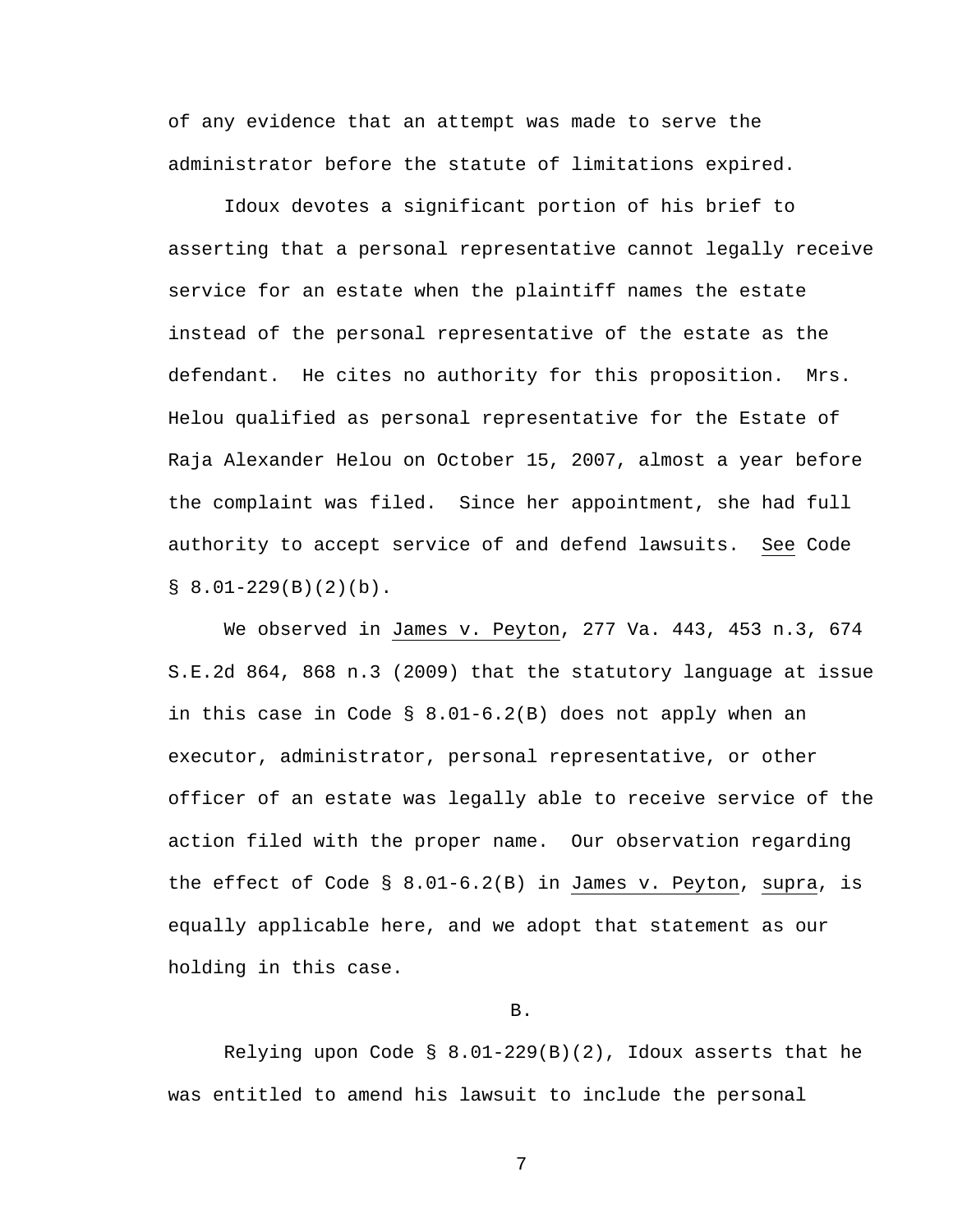of any evidence that an attempt was made to serve the administrator before the statute of limitations expired.

 Idoux devotes a significant portion of his brief to asserting that a personal representative cannot legally receive service for an estate when the plaintiff names the estate instead of the personal representative of the estate as the defendant. He cites no authority for this proposition. Mrs. Helou qualified as personal representative for the Estate of Raja Alexander Helou on October 15, 2007, almost a year before the complaint was filed. Since her appointment, she had full authority to accept service of and defend lawsuits. See Code  $\S$  8.01-229(B)(2)(b).

 We observed in James v. Peyton, 277 Va. 443, 453 n.3, 674 S.E.2d 864, 868 n.3 (2009) that the statutory language at issue in this case in Code § 8.01-6.2(B) does not apply when an executor, administrator, personal representative, or other officer of an estate was legally able to receive service of the action filed with the proper name. Our observation regarding the effect of Code § 8.01-6.2(B) in James v. Peyton, supra, is equally applicable here, and we adopt that statement as our holding in this case.

B.

 Relying upon Code § 8.01-229(B)(2), Idoux asserts that he was entitled to amend his lawsuit to include the personal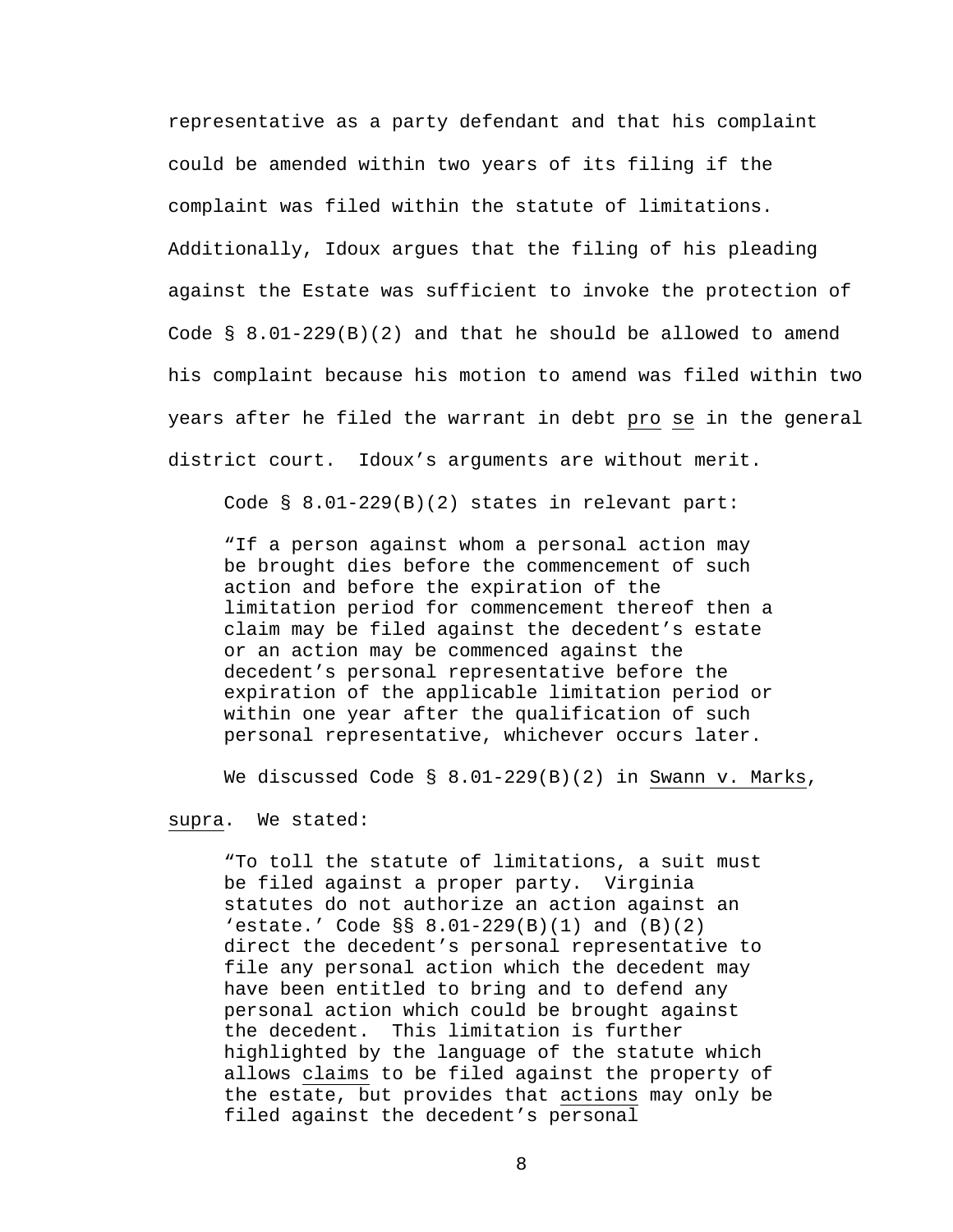representative as a party defendant and that his complaint could be amended within two years of its filing if the complaint was filed within the statute of limitations. Additionally, Idoux argues that the filing of his pleading against the Estate was sufficient to invoke the protection of Code  $\S$  8.01-229(B)(2) and that he should be allowed to amend his complaint because his motion to amend was filed within two years after he filed the warrant in debt pro se in the general district court. Idoux's arguments are without merit.

Code § 8.01-229(B)(2) states in relevant part:

"If a person against whom a personal action may be brought dies before the commencement of such action and before the expiration of the limitation period for commencement thereof then a claim may be filed against the decedent's estate or an action may be commenced against the decedent's personal representative before the expiration of the applicable limitation period or within one year after the qualification of such personal representative, whichever occurs later.

We discussed Code § 8.01-229(B)(2) in Swann v. Marks,

supra. We stated:

"To toll the statute of limitations, a suit must be filed against a proper party. Virginia statutes do not authorize an action against an 'estate.' Code §§ 8.01-229(B)(1) and (B)(2) direct the decedent's personal representative to file any personal action which the decedent may have been entitled to bring and to defend any personal action which could be brought against the decedent. This limitation is further highlighted by the language of the statute which allows claims to be filed against the property of the estate, but provides that actions may only be filed against the decedent's personal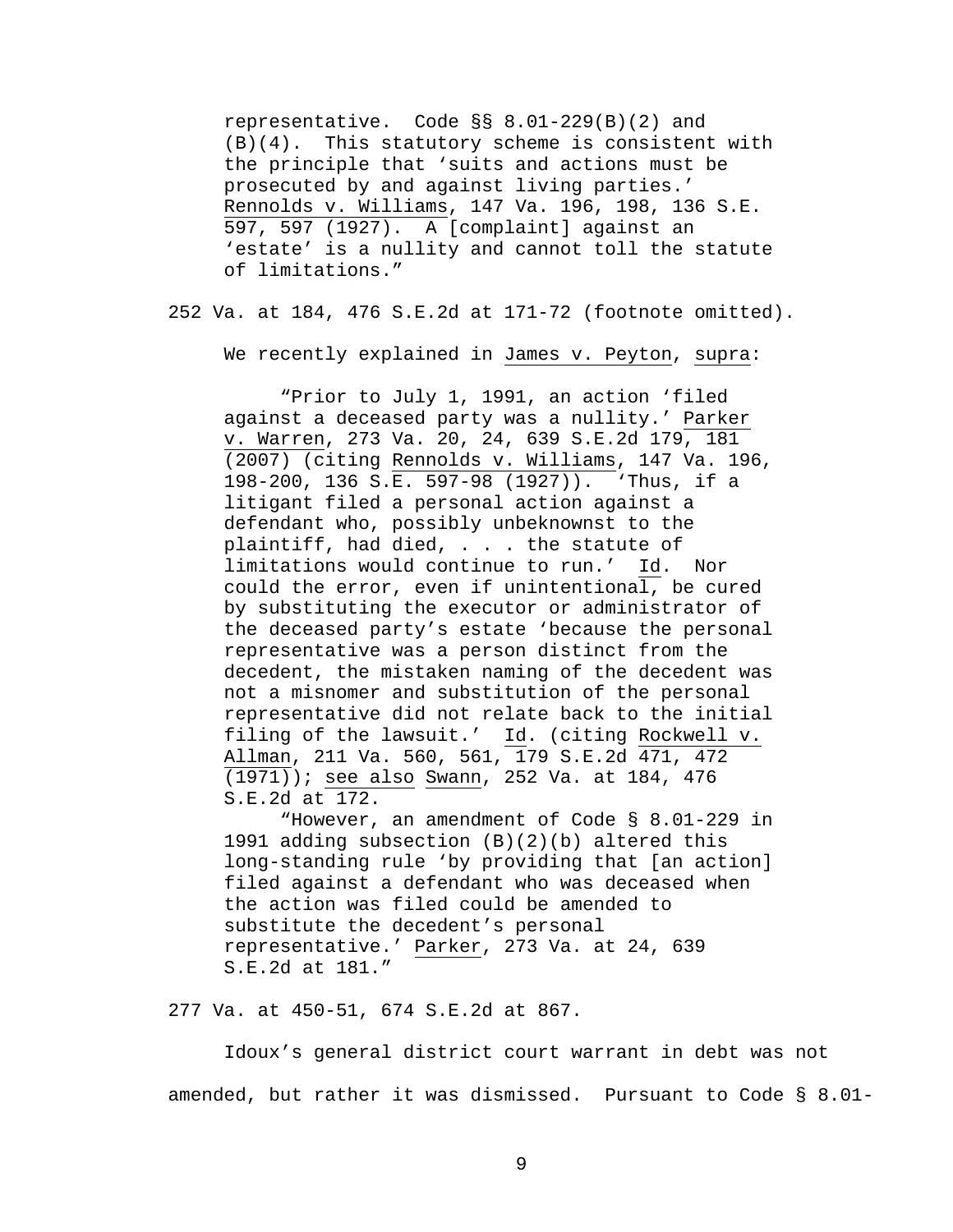representative. Code §§ 8.01-229(B)(2) and (B)(4). This statutory scheme is consistent with the principle that 'suits and actions must be prosecuted by and against living parties.' Rennolds v. Williams, 147 Va. 196, 198, 136 S.E. 597, 597 (1927). A [complaint] against an 'estate' is a nullity and cannot toll the statute of limitations."

252 Va. at 184, 476 S.E.2d at 171-72 (footnote omitted).

We recently explained in James v. Peyton, supra:

 "Prior to July 1, 1991, an action 'filed against a deceased party was a nullity.' Parker v. Warren, 273 Va. 20, 24, 639 S.E.2d 179, 181 (2007) (citing Rennolds v. Williams, 147 Va. 196, 198-200, 136 S.E. 597-98 (1927)). 'Thus, if a litigant filed a personal action against a defendant who, possibly unbeknownst to the plaintiff, had died, . . . the statute of limitations would continue to run.' Id. Nor could the error, even if unintentional, be cured by substituting the executor or administrator of the deceased party's estate 'because the personal representative was a person distinct from the decedent, the mistaken naming of the decedent was not a misnomer and substitution of the personal representative did not relate back to the initial filing of the lawsuit.' Id. (citing Rockwell v. Allman, 211 Va. 560, 561, 179 S.E.2d 471, 472 (1971)); see also Swann, 252 Va. at 184, 476 S.E.2d at 172.

 "However, an amendment of Code § 8.01-229 in 1991 adding subsection (B)(2)(b) altered this long-standing rule 'by providing that [an action] filed against a defendant who was deceased when the action was filed could be amended to substitute the decedent's personal representative.' Parker, 273 Va. at 24, 639 S.E.2d at 181."

277 Va. at 450-51, 674 S.E.2d at 867.

 Idoux's general district court warrant in debt was not amended, but rather it was dismissed. Pursuant to Code § 8.01-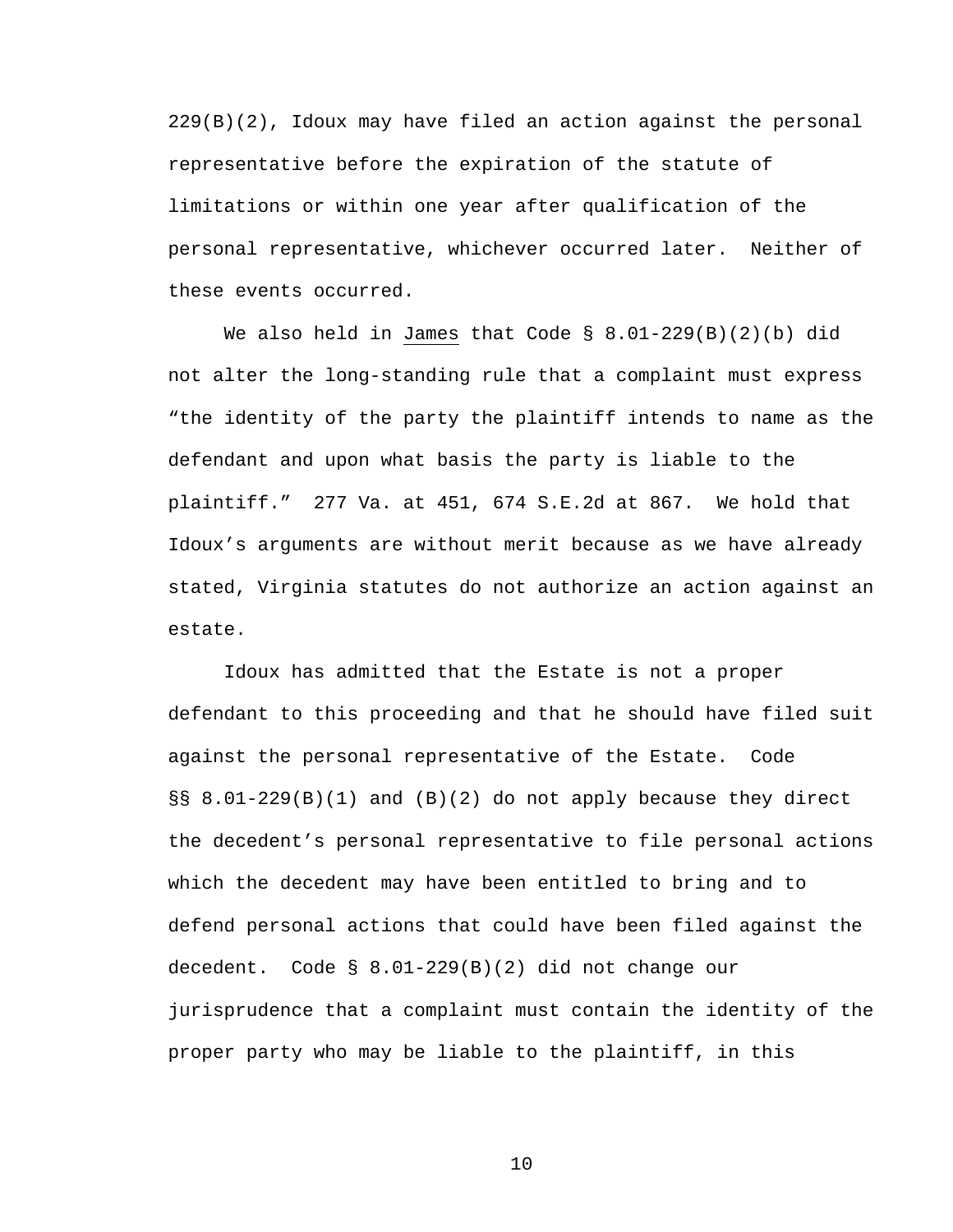229(B)(2), Idoux may have filed an action against the personal representative before the expiration of the statute of limitations or within one year after qualification of the personal representative, whichever occurred later. Neither of these events occurred.

 We also held in James that Code § 8.01-229(B)(2)(b) did not alter the long-standing rule that a complaint must express "the identity of the party the plaintiff intends to name as the defendant and upon what basis the party is liable to the plaintiff." 277 Va. at 451, 674 S.E.2d at 867. We hold that Idoux's arguments are without merit because as we have already stated, Virginia statutes do not authorize an action against an estate.

 Idoux has admitted that the Estate is not a proper defendant to this proceeding and that he should have filed suit against the personal representative of the Estate. Code §§ 8.01-229(B)(1) and (B)(2) do not apply because they direct the decedent's personal representative to file personal actions which the decedent may have been entitled to bring and to defend personal actions that could have been filed against the decedent. Code § 8.01-229(B)(2) did not change our jurisprudence that a complaint must contain the identity of the proper party who may be liable to the plaintiff, in this